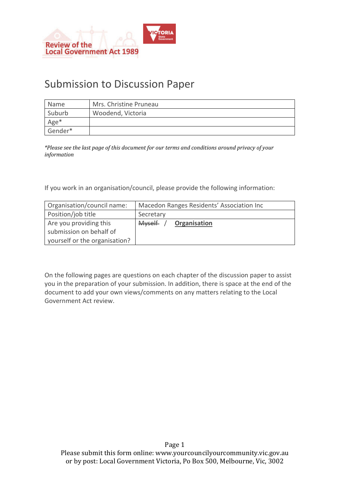

# Submission to Discussion Paper

| <b>Name</b> | Mrs. Christine Pruneau |  |
|-------------|------------------------|--|
| Suburb      | Woodend, Victoria      |  |
| Age*        |                        |  |
| Gender*     |                        |  |

*\*Please see the last page of this document for our terms and conditions around privacy of your information* 

If you work in an organisation/council, please provide the following information:

| Organisation/council name:    | Macedon Ranges Residents' Association Inc |
|-------------------------------|-------------------------------------------|
| Position/job title            | Secretary                                 |
| Are you providing this        | <b>Myself</b><br>Organisation             |
| submission on behalf of       |                                           |
| yourself or the organisation? |                                           |

On the following pages are questions on each chapter of the discussion paper to assist you in the preparation of your submission. In addition, there is space at the end of the document to add your own views/comments on any matters relating to the Local Government Act review.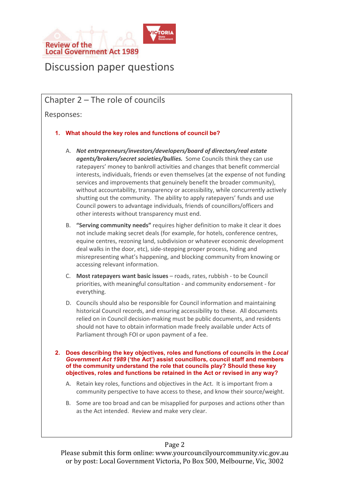

# Discussion paper questions

# Chapter 2 – The role of councils

Responses:

- **1. What should the key roles and functions of council be?** 
	- A. *Not entrepreneurs/investors/developers/board of directors/real estate agents/brokers/secret societies/bullies.* Some Councils think they can use ratepayers' money to bankroll activities and changes that benefit commercial interests, individuals, friends or even themselves (at the expense of not funding services and improvements that genuinely benefit the broader community), without accountability, transparency or accessibility, while concurrently actively shutting out the community. The ability to apply ratepayers' funds and use Council powers to advantage individuals, friends of councillors/officers and other interests without transparency must end.
	- B. **"Serving community needs"** requires higher definition to make it clear it does not include making secret deals (for example, for hotels, conference centres, equine centres, rezoning land, subdivision or whatever economic development deal walks in the door, etc), side-stepping proper process, hiding and misrepresenting what's happening, and blocking community from knowing or accessing relevant information.
	- C. **Most ratepayers want basic issues** roads, rates, rubbish to be Council priorities, with meaningful consultation - and community endorsement - for everything.
	- D. Councils should also be responsible for Council information and maintaining historical Council records, and ensuring accessibility to these. All documents relied on in Council decision-making must be public documents, and residents should not have to obtain information made freely available under Acts of Parliament through FOI or upon payment of a fee.
- **2. Does describing the key objectives, roles and functions of councils in the** *Local Government Act 1989* **('the Act') assist councillors, council staff and members of the community understand the role that councils play? Should these key objectives, roles and functions be retained in the Act or revised in any way?** 
	- A. Retain key roles, functions and objectives in the Act. It is important from a community perspective to have access to these, and know their source/weight.
	- B. Some are too broad and can be misapplied for purposes and actions other than as the Act intended. Review and make very clear.

# Page 2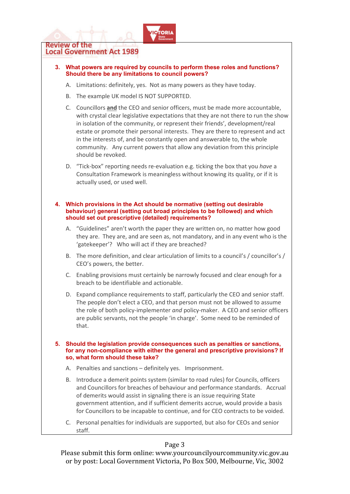

- **3. What powers are required by councils to perform these roles and functions? Should there be any limitations to council powers?** 
	- A. Limitations: definitely, yes. Not as many powers as they have today.
	- B. The example UK model IS NOT SUPPORTED.
	- C. Councillors **and** the CEO and senior officers, must be made more accountable, with crystal clear legislative expectations that they are not there to run the show in isolation of the community, or represent their friends', development/real estate or promote their personal interests. They are there to represent and act in the interests of, and be constantly open and answerable to, the whole community. Any current powers that allow any deviation from this principle should be revoked.
	- D. "Tick-box" reporting needs re-evaluation e.g. ticking the box that you *have* a Consultation Framework is meaningless without knowing its quality, or if it is actually used, or used well.

#### **4. Which provisions in the Act should be normative (setting out desirable behaviour) general (setting out broad principles to be followed) and which should set out prescriptive (detailed) requirements?**

- A. "Guidelines" aren't worth the paper they are written on, no matter how good they are. They are, and are seen as, not mandatory, and in any event who is the 'gatekeeper'? Who will act if they are breached?
- B. The more definition, and clear articulation of limits to a council's / councillor's / CEO's powers, the better.
- C. Enabling provisions must certainly be narrowly focused and clear enough for a breach to be identifiable and actionable.
- D. Expand compliance requirements to staff, particularly the CEO and senior staff. The people don't elect a CEO, and that person must not be allowed to assume the role of both policy-implementer *and* policy-maker. A CEO and senior officers are public servants, not the people 'in charge'. Some need to be reminded of that.
- **5. Should the legislation provide consequences such as penalties or sanctions, for any non-compliance with either the general and prescriptive provisions? If so, what form should these take?** 
	- A. Penalties and sanctions definitely yes. Imprisonment.
	- B. Introduce a demerit points system (similar to road rules) for Councils, officers and Councillors for breaches of behaviour and performance standards. Accrual of demerits would assist in signaling there is an issue requiring State government attention, and if sufficient demerits accrue, would provide a basis for Councillors to be incapable to continue, and for CEO contracts to be voided.
	- C. Personal penalties for individuals are supported, but also for CEOs and senior staff.

# Page 3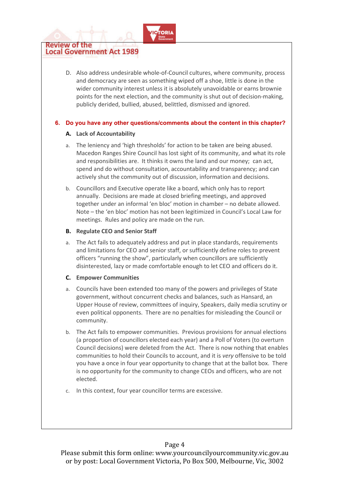D. Also address undesirable whole-of-Council cultures, where community, process and democracy are seen as something wiped off a shoe, little is done in the wider community interest unless it is absolutely unavoidable or earns brownie points for the next election, and the community is shut out of decision-making, publicly derided, bullied, abused, belittled, dismissed and ignored.

#### **6. Do you have any other questions/comments about the content in this chapter?**

#### **A. Lack of Accountability**

- a. The leniency and 'high thresholds' for action to be taken are being abused. Macedon Ranges Shire Council has lost sight of its community, and what its role and responsibilities are. It thinks it owns the land and our money; can act, spend and do without consultation, accountability and transparency; and can actively shut the community out of discussion, information and decisions.
- b. Councillors and Executive operate like a board, which only has to report annually. Decisions are made at closed briefing meetings, and approved together under an informal 'en bloc' motion in chamber – no debate allowed. Note – the 'en bloc' motion has not been legitimized in Council's Local Law for meetings. Rules and policy are made on the run.

## **B. Regulate CEO and Senior Staff**

a. The Act fails to adequately address and put in place standards, requirements and limitations for CEO and senior staff, or sufficiently define roles to prevent officers "running the show", particularly when councillors are sufficiently disinterested, lazy or made comfortable enough to let CEO and officers do it.

## **C. Empower Communities**

- a. Councils have been extended too many of the powers and privileges of State government, without concurrent checks and balances, such as Hansard, an Upper House of review, committees of inquiry, Speakers, daily media scrutiny or even political opponents. There are no penalties for misleading the Council or community.
- b. The Act fails to empower communities. Previous provisions for annual elections (a proportion of councillors elected each year) and a Poll of Voters (to overturn Council decisions) were deleted from the Act. There is now nothing that enables communities to hold their Councils to account, and it is *very* offensive to be told you have a once in four year opportunity to change that at the ballot box. There is no opportunity for the community to change CEOs and officers, who are not elected.
- c. In this context, four year councillor terms are excessive.

# Page 4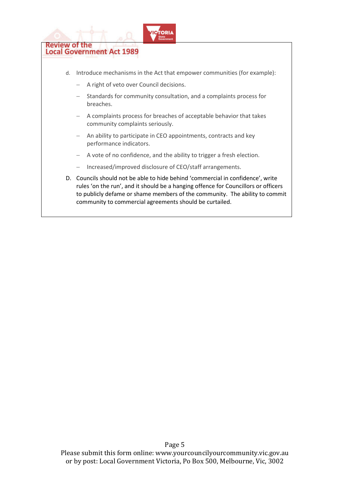

- d. Introduce mechanisms in the Act that empower communities (for example):
	- − A right of veto over Council decisions.
	- Standards for community consultation, and a complaints process for breaches.
	- − A complaints process for breaches of acceptable behavior that takes community complaints seriously.
	- − An ability to participate in CEO appointments, contracts and key performance indicators.
	- − A vote of no confidence, and the ability to trigger a fresh election.
	- − Increased/improved disclosure of CEO/staff arrangements.
- D. Councils should not be able to hide behind 'commercial in confidence', write rules 'on the run', and it should be a hanging offence for Councillors or officers to publicly defame or shame members of the community. The ability to commit community to commercial agreements should be curtailed.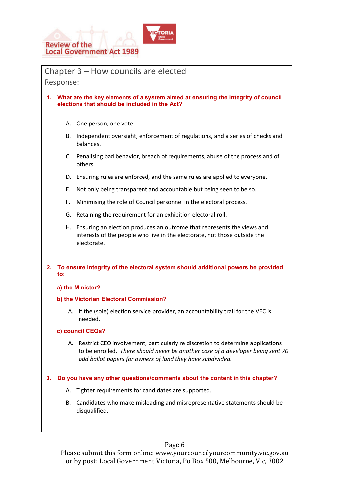

Chapter 3 – How councils are elected Response: **1. What are the key elements of a system aimed at ensuring the integrity of council elections that should be included in the Act?**  A. One person, one vote. B. Independent oversight, enforcement of regulations, and a series of checks and balances. C. Penalising bad behavior, breach of requirements, abuse of the process and of others. D. Ensuring rules are enforced, and the same rules are applied to everyone. E. Not only being transparent and accountable but being seen to be so. F. Minimising the role of Council personnel in the electoral process. G. Retaining the requirement for an exhibition electoral roll. H. Ensuring an election produces an outcome that represents the views and interests of the people who live in the electorate, not those outside the electorate. **2. To ensure integrity of the electoral system should additional powers be provided to: a) the Minister? b) the Victorian Electoral Commission?**  A. If the (sole) election service provider, an accountability trail for the VEC is needed. **c) council CEOs?**  A. Restrict CEO involvement, particularly re discretion to determine applications to be enrolled. *There should never be another case of a developer being sent 70 odd ballot papers for owners of land they have subdivided.* **3. Do you have any other questions/comments about the content in this chapter?**  A. Tighter requirements for candidates are supported. B. Candidates who make misleading and misrepresentative statements should be disqualified.

## Page 6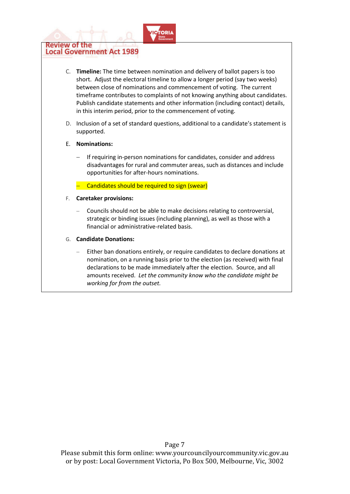

- C. **Timeline:** The time between nomination and delivery of ballot papers is too short. Adjust the electoral timeline to allow a longer period (say two weeks) between close of nominations and commencement of voting. The current timeframe contributes to complaints of not knowing anything about candidates. Publish candidate statements and other information (including contact) details, in this interim period, prior to the commencement of voting.
- D. Inclusion of a set of standard questions, additional to a candidate's statement is supported.

#### E. **Nominations:**

- If requiring in-person nominations for candidates, consider and address disadvantages for rural and commuter areas, such as distances and include opportunities for after-hours nominations.
- − Candidates should be required to sign (swear)
- F. **Caretaker provisions:** 
	- − Councils should not be able to make decisions relating to controversial, strategic or binding issues (including planning), as well as those with a financial or administrative-related basis.
- G. **Candidate Donations:**
	- Either ban donations entirely, or require candidates to declare donations at nomination, on a running basis prior to the election (as received) with final declarations to be made immediately after the election. Source, and all amounts received. *Let the community know who the candidate might be working for from the outset.*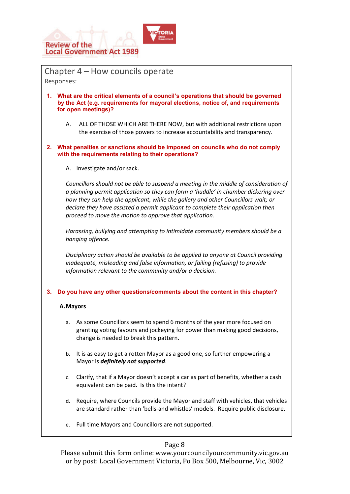

Chapter 4 – How councils operate Responses: **1. What are the critical elements of a council's operations that should be governed by the Act (e.g. requirements for mayoral elections, notice of, and requirements for open meetings)?**  A. ALL OF THOSE WHICH ARE THERE NOW, but with additional restrictions upon the exercise of those powers to increase accountability and transparency. **2. What penalties or sanctions should be imposed on councils who do not comply with the requirements relating to their operations?** A. Investigate and/or sack. *Councillors should not be able to suspend a meeting in the middle of consideration of a planning permit application so they can form a 'huddle' in chamber dickering over how they can help the applicant, while the gallery and other Councillors wait; or declare they have assisted a permit applicant to complete their application then proceed to move the motion to approve that application. Harassing, bullying and attempting to intimidate community members should be a hanging offence. Disciplinary action should be available to be applied to anyone at Council providing inadequate, misleading and false information, or failing (refusing) to provide information relevant to the community and/or a decision.*  **3. Do you have any other questions/comments about the content in this chapter? A.Mayors**  a. As some Councillors seem to spend 6 months of the year more focused on granting voting favours and jockeying for power than making good decisions, change is needed to break this pattern. b. It is as easy to get a rotten Mayor as a good one, so further empowering a Mayor is *definitely not supported*.

- c. Clarify, that if a Mayor doesn't accept a car as part of benefits, whether a cash equivalent can be paid. Is this the intent?
- d. Require, where Councils provide the Mayor and staff with vehicles, that vehicles are standard rather than 'bells-and whistles' models. Require public disclosure.
- e. Full time Mayors and Councillors are not supported.

# Page 8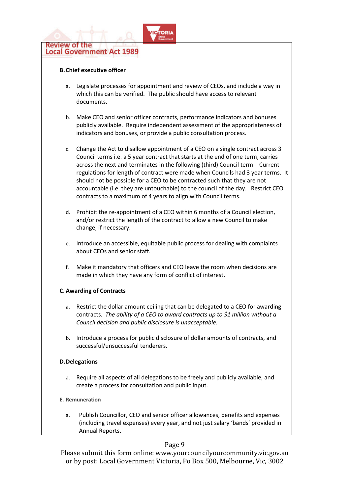

#### **B.Chief executive officer**

- a. Legislate processes for appointment and review of CEOs, and include a way in which this can be verified. The public should have access to relevant documents.
- b. Make CEO and senior officer contracts, performance indicators and bonuses publicly available. Require independent assessment of the appropriateness of indicators and bonuses, or provide a public consultation process.
- c. Change the Act to disallow appointment of a CEO on a single contract across 3 Council terms i.e. a 5 year contract that starts at the end of one term, carries across the next and terminates in the following (third) Council term. Current regulations for length of contract were made when Councils had 3 year terms. It should not be possible for a CEO to be contracted such that they are not accountable (i.e. they are untouchable) to the council of the day. Restrict CEO contracts to a maximum of 4 years to align with Council terms.
- d. Prohibit the re-appointment of a CEO within 6 months of a Council election, and/or restrict the length of the contract to allow a new Council to make change, if necessary.
- e. Introduce an accessible, equitable public process for dealing with complaints about CEOs and senior staff.
- f. Make it mandatory that officers and CEO leave the room when decisions are made in which they have any form of conflict of interest.

#### **C.Awarding of Contracts**

- a. Restrict the dollar amount ceiling that can be delegated to a CEO for awarding contracts. *The ability of a CEO to award contracts up to \$1 million without a Council decision and public disclosure is unacceptable.*
- b. Introduce a process for public disclosure of dollar amounts of contracts, and successful/unsuccessful tenderers.

#### **D.Delegations**

- a. Require all aspects of all delegations to be freely and publicly available, and create a process for consultation and public input.
- **E. Remuneration** 
	- a. Publish Councillor, CEO and senior officer allowances, benefits and expenses (including travel expenses) every year, and not just salary 'bands' provided in Annual Reports.

#### Page 9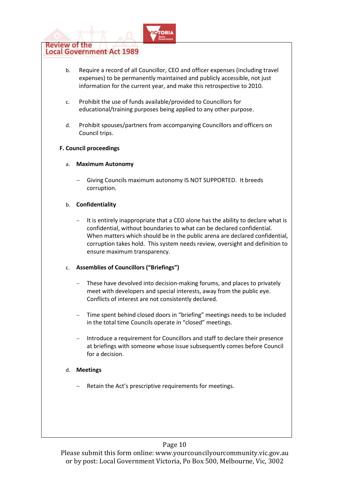

# **Local Government Act 1989**

- b. Require a record of all Councillor, CEO and officer expenses (including travel expenses) to be permanently maintained and publicly accessible, not just information for the current year, and make this retrospective to 2010.
- c. Prohibit the use of funds available/provided to Councillors for educational/training purposes being applied to any other purpose.
- d. Prohibit spouses/partners from accompanying Councillors and officers on Council trips.

## **F. Council proceedings**

- a. **Maximum Autonomy** 
	- Giving Councils maximum autonomy IS NOT SUPPORTED. It breeds corruption.

## b. **Confidentiality**

It is entirely inappropriate that a CEO alone has the ability to declare what is confidential, without boundaries to what can be declared confidential. When matters which should be in the public arena are declared confidential, corruption takes hold. This system needs review, oversight and definition to ensure maximum transparency.

## c. **Assemblies of Councillors ("Briefings")**

- These have devolved into decision-making forums, and places to privately meet with developers and special interests, away from the public eye. Conflicts of interest are not consistently declared.
- Time spent behind closed doors in "briefing" meetings needs to be included in the total time Councils operate in "closed" meetings.
- − Introduce a requirement for Councillors and staff to declare their presence at briefings with someone whose issue subsequently comes before Council for a decision.

## d. **Meetings**

Retain the Act's prescriptive requirements for meetings.

# Page 10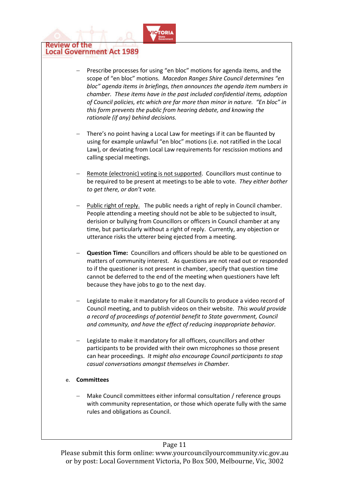

- Prescribe processes for using "en bloc" motions for agenda items, and the scope of "en bloc" motions. *Macedon Ranges Shire Council determines "en bloc" agenda items in briefings, then announces the agenda item numbers in chamber. These items have in the past included confidential items, adoption of Council policies, etc which are far more than minor in nature. "En bloc" in this form prevents the public from hearing debate, and knowing the rationale (if any) behind decisions.*
- There's no point having a Local Law for meetings if it can be flaunted by using for example unlawful "en bloc" motions (i.e. not ratified in the Local Law), or deviating from Local Law requirements for rescission motions and calling special meetings.
- Remote (electronic) voting is not supported. Councillors must continue to be required to be present at meetings to be able to vote. *They either bother to get there, or don't vote.*
- − Public right of reply.The public needs a right of reply in Council chamber. People attending a meeting should not be able to be subjected to insult, derision or bullying from Councillors or officers in Council chamber at any time, but particularly without a right of reply. Currently, any objection or utterance risks the utterer being ejected from a meeting.
- **Question Time:** Councillors and officers should be able to be questioned on matters of community interest. As questions are not read out or responded to if the questioner is not present in chamber, specify that question time cannot be deferred to the end of the meeting when questioners have left because they have jobs to go to the next day.
- Legislate to make it mandatory for all Councils to produce a video record of Council meeting, and to publish videos on their website. *This would provide a record of proceedings of potential benefit to State government, Council and community, and have the effect of reducing inappropriate behavior.*
- Legislate to make it mandatory for all officers, councillors and other participants to be provided with their own microphones so those present can hear proceedings. *It might also encourage Council participants to stop casual conversations amongst themselves in Chamber.*

# e. **Committees**

− Make Council committees either informal consultation / reference groups with community representation, or those which operate fully with the same rules and obligations as Council.

# Page 11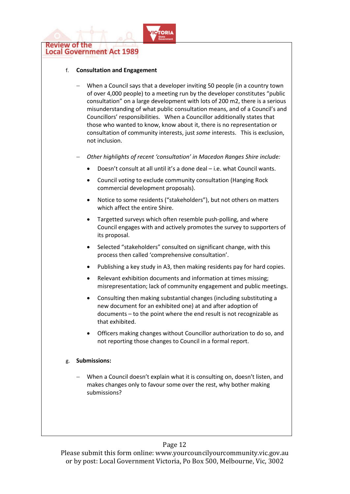

#### f. **Consultation and Engagement**

- − When a Council says that a developer inviting 50 people (in a country town of over 4,000 people) to a meeting run by the developer constitutes "public consultation" on a large development with lots of 200 m2, there is a serious misunderstanding of what public consultation means, and of a Council's and Councillors' responsibilities. When a Councillor additionally states that those who wanted to know, know about it, there is no representation or consultation of community interests, just *some* interests. This is exclusion, not inclusion.
- − *Other highlights of recent 'consultation' in Macedon Ranges Shire include:* 
	- Doesn't consult at all until it's a done deal i.e. what Council wants.
	- Council *voting* to exclude community consultation (Hanging Rock commercial development proposals).
	- Notice to some residents ("stakeholders"), but not others on matters which affect the entire Shire.
	- Targetted surveys which often resemble push-polling, and where Council engages with and actively promotes the survey to supporters of its proposal.
	- Selected "stakeholders" consulted on significant change, with this process then called 'comprehensive consultation'.
	- Publishing a key study in A3, then making residents pay for hard copies.
	- Relevant exhibition documents and information at times missing; misrepresentation; lack of community engagement and public meetings.
	- Consulting then making substantial changes (including substituting a new document for an exhibited one) at and after adoption of documents – to the point where the end result is not recognizable as that exhibited.
	- Officers making changes without Councillor authorization to do so, and not reporting those changes to Council in a formal report.

#### g. **Submissions:**

When a Council doesn't explain what it is consulting on, doesn't listen, and makes changes only to favour some over the rest, why bother making submissions?

# Page 12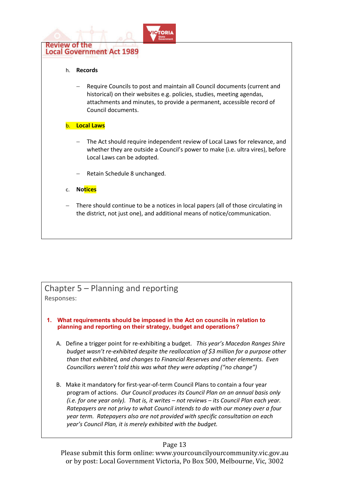

# Chapter 5 – Planning and reporting Responses:

**1. What requirements should be imposed in the Act on councils in relation to planning and reporting on their strategy, budget and operations?** 

- A. Define a trigger point for re-exhibiting a budget. *This year's Macedon Ranges Shire budget wasn't re-exhibited despite the reallocation of \$3 million for a purpose other than that exhibited, and changes to Financial Reserves and other elements. Even Councillors weren't told this was what they were adopting ("no change")*
- B. Make it mandatory for first-year-of-term Council Plans to contain a four year program of actions. *Our Council produces its Council Plan on an annual basis only (i.e. for one year only). That is, it writes – not reviews – its Council Plan each year. Ratepayers are not privy to what Council intends to do with our money over a four year term. Ratepayers also are not provided with specific consultation on each year's Council Plan, it is merely exhibited with the budget.*

# Page 13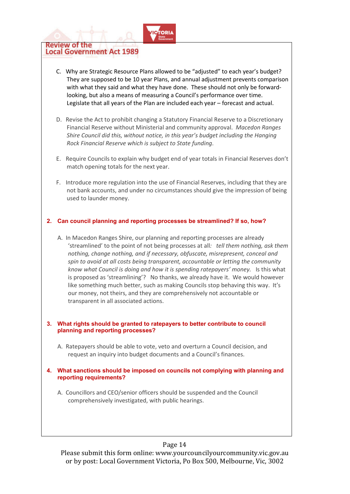

- C. Why are Strategic Resource Plans allowed to be "adjusted" to each year's budget? They are supposed to be 10 year Plans, and annual adjustment prevents comparison with what they said and what they have done. These should not only be forwardlooking, but also a means of measuring a Council's performance over time. Legislate that all years of the Plan are included each year – forecast and actual.
- D. Revise the Act to prohibit changing a Statutory Financial Reserve to a Discretionary Financial Reserve without Ministerial and community approval. *Macedon Ranges Shire Council did this, without notice, in this year's budget including the Hanging Rock Financial Reserve which is subject to State funding*.
- E. Require Councils to explain why budget end of year totals in Financial Reserves don't match opening totals for the next year.
- F. Introduce more regulation into the use of Financial Reserves, including that they are not bank accounts, and under no circumstances should give the impression of being used to launder money.

#### **2. Can council planning and reporting processes be streamlined? If so, how?**

A. In Macedon Ranges Shire, our planning and reporting processes are already 'streamlined' to the point of not being processes at all*: tell them nothing, ask them nothing, change nothing, and if necessary, obfuscate, misrepresent, conceal and spin to avoid at all costs being transparent, accountable or letting the community know what Council is doing and how it is spending ratepayers' money.* Is this what is proposed as 'streamlining'? No thanks, we already have it. We would however like something much better, such as making Councils stop behaving this way. It's our money, not theirs, and they are comprehensively not accountable or transparent in all associated actions.

#### **3. What rights should be granted to ratepayers to better contribute to council planning and reporting processes?**

- A. Ratepayers should be able to vote, veto and overturn a Council decision, and request an inquiry into budget documents and a Council's finances.
- **4. What sanctions should be imposed on councils not complying with planning and reporting requirements?** 
	- A. Councillors and CEO/senior officers should be suspended and the Council comprehensively investigated, with public hearings.

## Page 14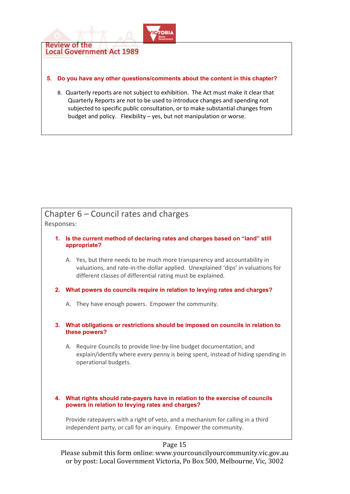

#### **5. Do you have any other questions/comments about the content in this chapter?**

B. Quarterly reports are not subject to exhibition. The Act must make it clear that Quarterly Reports are not to be used to introduce changes and spending not subjected to specific public consultation, or to make substantial changes from budget and policy. Flexibility – yes, but not manipulation or worse.

# Chapter 6 – Council rates and charges

Responses:

- **1. Is the current method of declaring rates and charges based on "land" still appropriate?** 
	- A. Yes, but there needs to be much more transparency and accountability in valuations, and rate-in-the-dollar applied. Unexplained 'dips' in valuations for different classes of differential rating must be explained.
- **2. What powers do councils require in relation to levying rates and charges?** 
	- A. They have enough powers. Empower the community.
- **3. What obligations or restrictions should be imposed on councils in relation to these powers?** 
	- A. Require Councils to provide line-by-line budget documentation, and explain/identify where every penny is being spent, instead of hiding spending in operational budgets.
- **4. What rights should rate-payers have in relation to the exercise of councils powers in relation to levying rates and charges?**

Provide ratepayers with a right of veto, and a mechanism for calling in a third independent party, or call for an inquiry. Empower the community.

# Page 15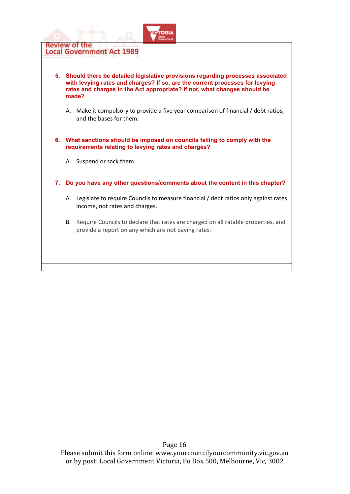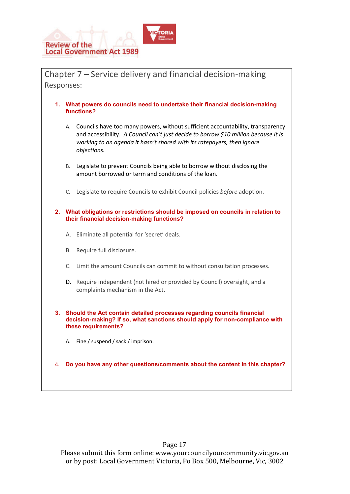

Responses:

**functions?** 

|    | А. | Councils have too many powers, without sufficient accountability, transparency<br>and accessibility. A Council can't just decide to borrow \$10 million because it is<br>working to an agenda it hasn't shared with its ratepayers, then ignore<br>objections. |  |
|----|----|----------------------------------------------------------------------------------------------------------------------------------------------------------------------------------------------------------------------------------------------------------------|--|
|    | В. | Legislate to prevent Councils being able to borrow without disclosing the<br>amount borrowed or term and conditions of the loan.                                                                                                                               |  |
|    | C. | Legislate to require Councils to exhibit Council policies before adoption.                                                                                                                                                                                     |  |
| 2. |    | What obligations or restrictions should be imposed on councils in relation to<br>their financial decision-making functions?                                                                                                                                    |  |
|    | А. | Eliminate all potential for 'secret' deals.                                                                                                                                                                                                                    |  |
|    | Β. | Require full disclosure.                                                                                                                                                                                                                                       |  |
|    | C. | Limit the amount Councils can commit to without consultation processes.                                                                                                                                                                                        |  |
|    | D. | Require independent (not hired or provided by Council) oversight, and a<br>complaints mechanism in the Act.                                                                                                                                                    |  |
| 3. |    | Should the Act contain detailed processes regarding councils financial<br>decision-making? If so, what sanctions should apply for non-compliance with<br>these requirements?                                                                                   |  |
|    | Α. | Fine / suspend / sack / imprison.                                                                                                                                                                                                                              |  |
| 4. |    | Do you have any other questions/comments about the content in this chapter?                                                                                                                                                                                    |  |
|    |    |                                                                                                                                                                                                                                                                |  |

Chapter 7 – Service delivery and financial decision-making

**1. What powers do councils need to undertake their financial decision-making** 

Please submit this form online: www.yourcouncilyourcommunity.vic.gov.au or by post: Local Government Victoria, Po Box 500, Melbourne, Vic, 3002

# Page 17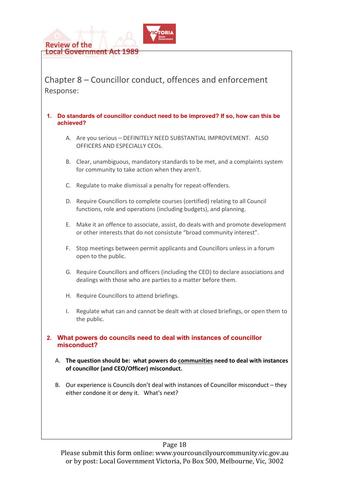

Chapter 8 – Councillor conduct, offences and enforcement Response:

#### **1. Do standards of councillor conduct need to be improved? If so, how can this be achieved?**

- A. Are you serious DEFINITELY NEED SUBSTANTIAL IMPROVEMENT. ALSO OFFICERS AND ESPECIALLY CEOs.
- B. Clear, unambiguous, mandatory standards to be met, and a complaints system for community to take action when they aren't.
- C. Regulate to make dismissal a penalty for repeat-offenders.
- D. Require Councillors to complete courses (certified) relating to all Council functions, role and operations (including budgets), and planning.
- E. Make it an offence to associate, assist, do deals with and promote development or other interests that do not consistute "broad community interest".
- F. Stop meetings between permit applicants and Councillors unless in a forum open to the public.
- G. Require Councillors and officers (including the CEO) to declare associations and dealings with those who are parties to a matter before them.
- H. Require Councillors to attend briefings.
- I. Regulate what can and cannot be dealt with at closed briefings, or open them to the public.
- **2. What powers do councils need to deal with instances of councillor misconduct?** 
	- A. **The question should be: what powers do communities need to deal with instances of councillor (and CEO/Officer) misconduct.**
	- B. Our experience is Councils don't deal with instances of Councillor misconduct they either condone it or deny it. What's next?

# Page 18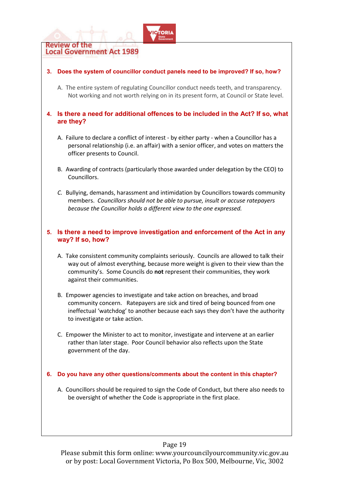

## Page 19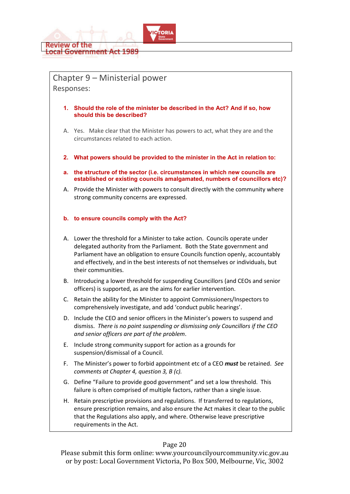

# Chapter 9 – Ministerial power Responses:

- **1. Should the role of the minister be described in the Act? And if so, how should this be described?**
- A. Yes. Make clear that the Minister has powers to act, what they are and the circumstances related to each action.
- **2. What powers should be provided to the minister in the Act in relation to:**
- **a. the structure of the sector (i.e. circumstances in which new councils are established or existing councils amalgamated, numbers of councillors etc)?**
- A. Provide the Minister with powers to consult directly with the community where strong community concerns are expressed.

#### **b. to ensure councils comply with the Act?**

- A. Lower the threshold for a Minister to take action. Councils operate under delegated authority from the Parliament. Both the State government and Parliament have an obligation to ensure Councils function openly, accountably and effectively, and in the best interests of not themselves or individuals, but their communities.
- B. Introducing a lower threshold for suspending Councillors (and CEOs and senior officers) is supported, as are the aims for earlier intervention.
- C. Retain the ability for the Minister to appoint Commissioners/Inspectors to comprehensively investigate, and add 'conduct public hearings'.
- D. Include the CEO and senior officers in the Minister's powers to suspend and dismiss. *There is no point suspending or dismissing only Councillors if the CEO and senior officers are part of the problem*.
- E. Include strong community support for action as a grounds for suspension/dismissal of a Council.
- F. The Minister's power to forbid appointment etc of a CEO *must* be retained. *See comments at Chapter 4, question 3, B (c).*
- G. Define "Failure to provide good government" and set a low threshold. This failure is often comprised of multiple factors, rather than a single issue.
- H. Retain prescriptive provisions and regulations. If transferred to regulations, ensure prescription remains, and also ensure the Act makes it clear to the public that the Regulations also apply, and where. Otherwise leave prescriptive requirements in the Act.

#### Page 20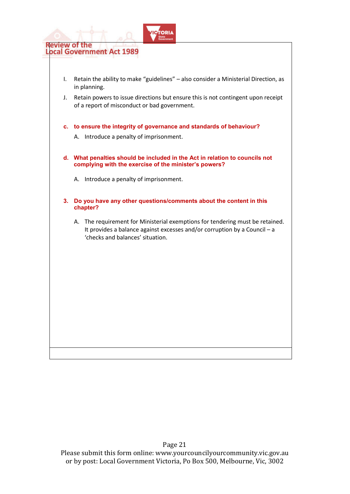

- I. Retain the ability to make "guidelines" also consider a Ministerial Direction, as in planning.
- J. Retain powers to issue directions but ensure this is not contingent upon receipt of a report of misconduct or bad government.
- **c. to ensure the integrity of governance and standards of behaviour?** 
	- A. Introduce a penalty of imprisonment.
- **d. What penalties should be included in the Act in relation to councils not complying with the exercise of the minister's powers?** 
	- A. Introduce a penalty of imprisonment.
- **3. Do you have any other questions/comments about the content in this chapter?** 
	- A. The requirement for Ministerial exemptions for tendering must be retained. It provides a balance against excesses and/or corruption by a Council – a 'checks and balances' situation.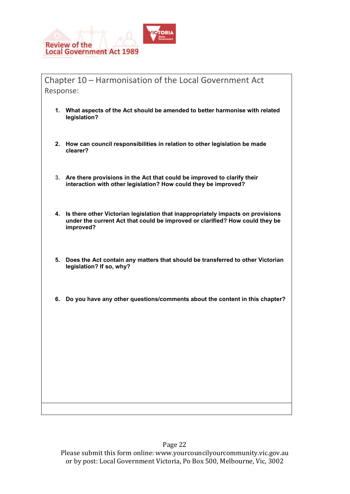

Chapter 10 – Harmonisation of the Local Government Act Response:

- **1. What aspects of the Act should be amended to better harmonise with related legislation?**
- **2. How can council responsibilities in relation to other legislation be made clearer?**
- **3. Are there provisions in the Act that could be improved to clarify their interaction with other legislation? How could they be improved?**
- **4. Is there other Victorian legislation that inappropriately impacts on provisions under the current Act that could be improved or clarified? How could they be improved?**
- **5. Does the Act contain any matters that should be transferred to other Victorian legislation? If so, why?**
- **6. Do you have any other questions/comments about the content in this chapter?**

Please submit this form online: www.yourcouncilyourcommunity.vic.gov.au or by post: Local Government Victoria, Po Box 500, Melbourne, Vic, 3002

# Page 22